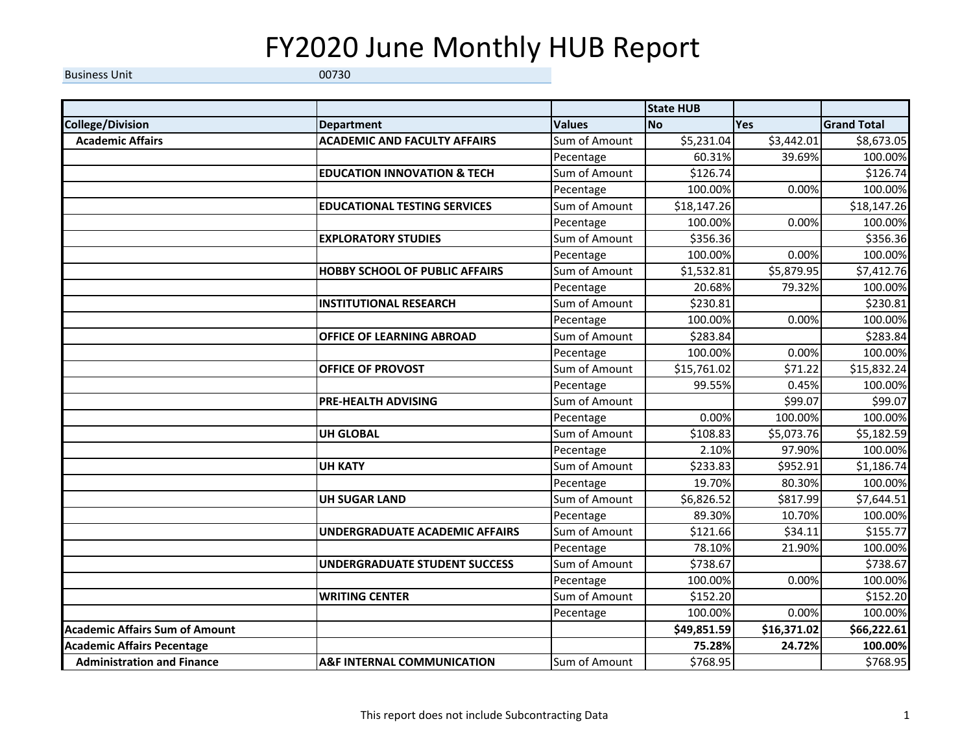## FY2020 June Monthly HUB Report

Business Unit 00730

|                                       |                                        |               | <b>State HUB</b> |             |                    |
|---------------------------------------|----------------------------------------|---------------|------------------|-------------|--------------------|
| <b>College/Division</b>               | <b>Department</b>                      | <b>Values</b> | <b>No</b>        | Yes         | <b>Grand Total</b> |
| <b>Academic Affairs</b>               | <b>ACADEMIC AND FACULTY AFFAIRS</b>    | Sum of Amount | \$5,231.04       | \$3,442.01  | \$8,673.05         |
|                                       |                                        | Pecentage     | 60.31%           | 39.69%      | 100.00%            |
|                                       | <b>EDUCATION INNOVATION &amp; TECH</b> | Sum of Amount | \$126.74         |             | \$126.74           |
|                                       |                                        | Pecentage     | 100.00%          | 0.00%       | 100.00%            |
|                                       | <b>EDUCATIONAL TESTING SERVICES</b>    | Sum of Amount | \$18,147.26      |             | \$18,147.26        |
|                                       |                                        | Pecentage     | 100.00%          | 0.00%       | 100.00%            |
|                                       | <b>EXPLORATORY STUDIES</b>             | Sum of Amount | \$356.36         |             | \$356.36           |
|                                       |                                        | Pecentage     | 100.00%          | 0.00%       | 100.00%            |
|                                       | <b>HOBBY SCHOOL OF PUBLIC AFFAIRS</b>  | Sum of Amount | \$1,532.81       | \$5,879.95  | \$7,412.76         |
|                                       |                                        | Pecentage     | 20.68%           | 79.32%      | 100.00%            |
|                                       | <b>INSTITUTIONAL RESEARCH</b>          | Sum of Amount | \$230.81         |             | \$230.81           |
|                                       |                                        | Pecentage     | 100.00%          | 0.00%       | 100.00%            |
|                                       | OFFICE OF LEARNING ABROAD              | Sum of Amount | \$283.84         |             | \$283.84           |
|                                       |                                        | Pecentage     | 100.00%          | 0.00%       | 100.00%            |
|                                       | OFFICE OF PROVOST                      | Sum of Amount | \$15,761.02      | \$71.22     | \$15,832.24        |
|                                       |                                        | Pecentage     | 99.55%           | 0.45%       | 100.00%            |
|                                       | <b>PRE-HEALTH ADVISING</b>             | Sum of Amount |                  | \$99.07     | 599.07             |
|                                       |                                        | Pecentage     | 0.00%            | 100.00%     | 100.00%            |
|                                       | <b>UH GLOBAL</b>                       | Sum of Amount | \$108.83         | \$5,073.76  | \$5,182.59         |
|                                       |                                        | Pecentage     | 2.10%            | 97.90%      | 100.00%            |
|                                       | <b>UH KATY</b>                         | Sum of Amount | \$233.83         | \$952.91    | \$1,186.74         |
|                                       |                                        | Pecentage     | 19.70%           | 80.30%      | 100.00%            |
|                                       | <b>UH SUGAR LAND</b>                   | Sum of Amount | \$6,826.52       | \$817.99    | \$7,644.51         |
|                                       |                                        | Pecentage     | 89.30%           | 10.70%      | 100.00%            |
|                                       | <b>UNDERGRADUATE ACADEMIC AFFAIRS</b>  | Sum of Amount | \$121.66         | \$34.11     | \$155.77           |
|                                       |                                        | Pecentage     | 78.10%           | 21.90%      | 100.00%            |
|                                       | <b>UNDERGRADUATE STUDENT SUCCESS</b>   | Sum of Amount | \$738.67         |             | \$738.67           |
|                                       |                                        | Pecentage     | 100.00%          | 0.00%       | 100.00%            |
|                                       | <b>WRITING CENTER</b>                  | Sum of Amount | \$152.20         |             | \$152.20           |
|                                       |                                        | Pecentage     | 100.00%          | 0.00%       | 100.00%            |
| <b>Academic Affairs Sum of Amount</b> |                                        |               | \$49,851.59      | \$16,371.02 | \$66,222.61        |
| <b>Academic Affairs Pecentage</b>     |                                        |               | 75.28%           | 24.72%      | 100.00%            |
| <b>Administration and Finance</b>     | <b>A&amp;F INTERNAL COMMUNICATION</b>  | Sum of Amount | \$768.95         |             | \$768.95           |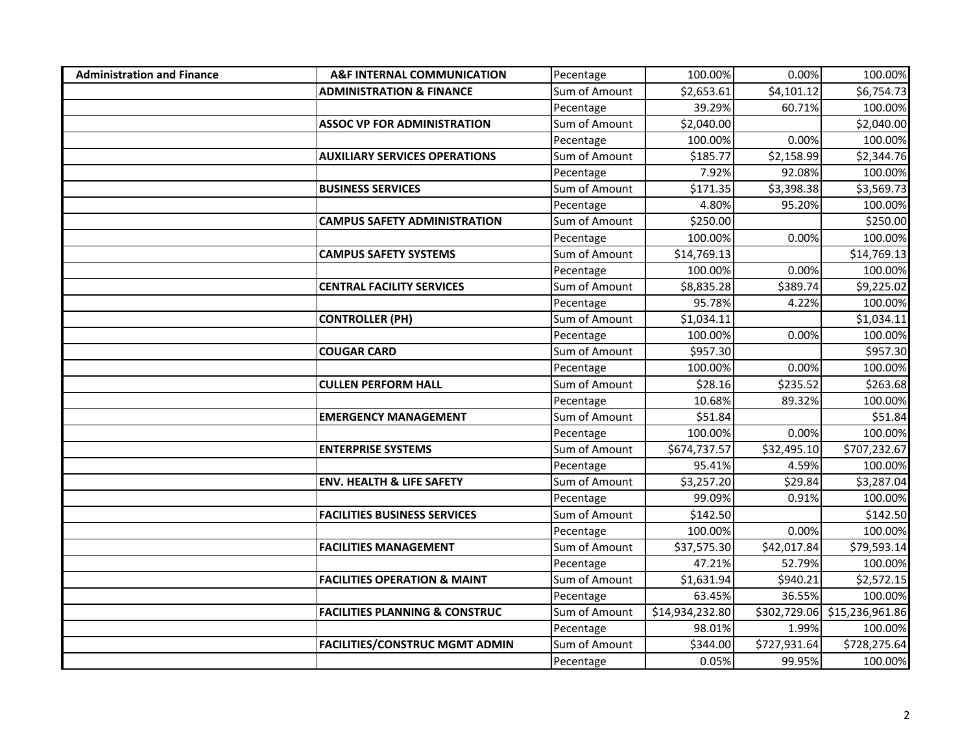| <b>Administration and Finance</b> | <b>A&amp;F INTERNAL COMMUNICATION</b>     | Pecentage     | 100.00%         | 0.00%        | 100.00%                      |
|-----------------------------------|-------------------------------------------|---------------|-----------------|--------------|------------------------------|
|                                   | <b>ADMINISTRATION &amp; FINANCE</b>       | Sum of Amount | \$2,653.61      | \$4,101.12   | \$6,754.73                   |
|                                   |                                           | Pecentage     | 39.29%          | 60.71%       | 100.00%                      |
|                                   | <b>ASSOC VP FOR ADMINISTRATION</b>        | Sum of Amount | \$2,040.00      |              | \$2,040.00                   |
|                                   |                                           | Pecentage     | 100.00%         | 0.00%        | 100.00%                      |
|                                   | <b>AUXILIARY SERVICES OPERATIONS</b>      | Sum of Amount | \$185.77        | \$2,158.99   | \$2,344.76                   |
|                                   |                                           | Pecentage     | 7.92%           | 92.08%       | 100.00%                      |
|                                   | <b>BUSINESS SERVICES</b>                  | Sum of Amount | \$171.35        | \$3,398.38   | \$3,569.73                   |
|                                   |                                           | Pecentage     | 4.80%           | 95.20%       | 100.00%                      |
|                                   | <b>CAMPUS SAFETY ADMINISTRATION</b>       | Sum of Amount | \$250.00        |              | \$250.00                     |
|                                   |                                           | Pecentage     | 100.00%         | 0.00%        | 100.00%                      |
|                                   | <b>CAMPUS SAFETY SYSTEMS</b>              | Sum of Amount | \$14,769.13     |              | \$14,769.13                  |
|                                   |                                           | Pecentage     | 100.00%         | 0.00%        | 100.00%                      |
|                                   | <b>CENTRAL FACILITY SERVICES</b>          | Sum of Amount | \$8,835.28      | \$389.74     | \$9,225.02                   |
|                                   |                                           | Pecentage     | 95.78%          | 4.22%        | 100.00%                      |
|                                   | <b>CONTROLLER (PH)</b>                    | Sum of Amount | \$1,034.11      |              | \$1,034.11                   |
|                                   |                                           | Pecentage     | 100.00%         | 0.00%        | 100.00%                      |
|                                   | <b>COUGAR CARD</b>                        | Sum of Amount | \$957.30        |              | \$957.30                     |
|                                   |                                           | Pecentage     | 100.00%         | 0.00%        | 100.00%                      |
|                                   | <b>CULLEN PERFORM HALL</b>                | Sum of Amount | \$28.16         | \$235.52     | \$263.68                     |
|                                   |                                           | Pecentage     | 10.68%          | 89.32%       | 100.00%                      |
|                                   | <b>EMERGENCY MANAGEMENT</b>               | Sum of Amount | \$51.84         |              | \$51.84                      |
|                                   |                                           | Pecentage     | 100.00%         | 0.00%        | 100.00%                      |
|                                   | <b>ENTERPRISE SYSTEMS</b>                 | Sum of Amount | \$674,737.57    | \$32,495.10  | \$707,232.67                 |
|                                   |                                           | Pecentage     | 95.41%          | 4.59%        | 100.00%                      |
|                                   | <b>ENV. HEALTH &amp; LIFE SAFETY</b>      | Sum of Amount | \$3,257.20      | \$29.84      | \$3,287.04                   |
|                                   |                                           | Pecentage     | 99.09%          | 0.91%        | 100.00%                      |
|                                   | <b>FACILITIES BUSINESS SERVICES</b>       | Sum of Amount | \$142.50        |              | \$142.50                     |
|                                   |                                           | Pecentage     | 100.00%         | 0.00%        | 100.00%                      |
|                                   | <b>FACILITIES MANAGEMENT</b>              | Sum of Amount | \$37,575.30     | \$42,017.84  | \$79,593.14                  |
|                                   |                                           | Pecentage     | 47.21%          | 52.79%       | 100.00%                      |
|                                   | <b>FACILITIES OPERATION &amp; MAINT</b>   | Sum of Amount | \$1,631.94      | \$940.21     | \$2,572.15                   |
|                                   |                                           | Pecentage     | 63.45%          | 36.55%       | 100.00%                      |
|                                   | <b>FACILITIES PLANNING &amp; CONSTRUC</b> | Sum of Amount | \$14,934,232.80 |              | \$302,729.06 \$15,236,961.86 |
|                                   |                                           | Pecentage     | 98.01%          | 1.99%        | 100.00%                      |
|                                   | <b>FACILITIES/CONSTRUC MGMT ADMIN</b>     | Sum of Amount | \$344.00        | \$727,931.64 | \$728,275.64                 |
|                                   |                                           | Pecentage     | 0.05%           | 99.95%       | 100.00%                      |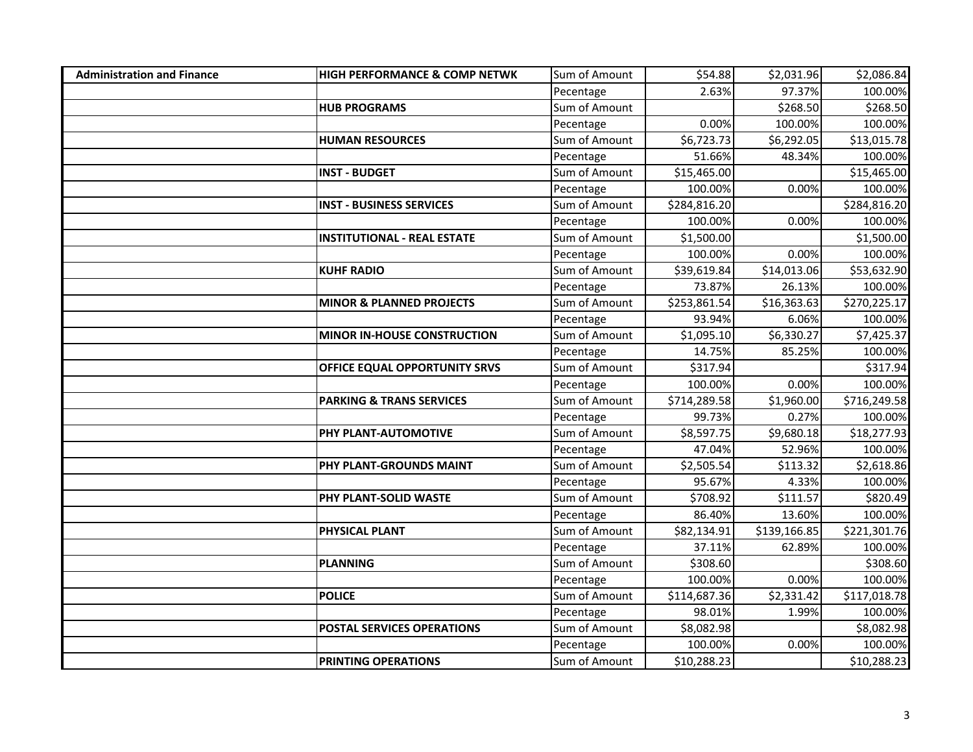| <b>Administration and Finance</b> | <b>HIGH PERFORMANCE &amp; COMP NETWK</b> | Sum of Amount | \$54.88      | \$2,031.96   | \$2,086.84                          |
|-----------------------------------|------------------------------------------|---------------|--------------|--------------|-------------------------------------|
|                                   |                                          | Pecentage     | 2.63%        | 97.37%       | 100.00%                             |
|                                   | <b>HUB PROGRAMS</b>                      | Sum of Amount |              | \$268.50     | \$268.50                            |
|                                   |                                          | Pecentage     | 0.00%        | 100.00%      | 100.00%                             |
|                                   | <b>HUMAN RESOURCES</b>                   | Sum of Amount | \$6,723.73   | \$6,292.05   | \$13,015.78                         |
|                                   |                                          | Pecentage     | 51.66%       | 48.34%       | 100.00%                             |
|                                   | <b>INST - BUDGET</b>                     | Sum of Amount | \$15,465.00  |              | \$15,465.00                         |
|                                   |                                          | Pecentage     | 100.00%      | 0.00%        | 100.00%                             |
|                                   | <b>INST - BUSINESS SERVICES</b>          | Sum of Amount | \$284,816.20 |              | \$284,816.20                        |
|                                   |                                          | Pecentage     | 100.00%      | 0.00%        | 100.00%                             |
|                                   | <b>INSTITUTIONAL - REAL ESTATE</b>       | Sum of Amount | \$1,500.00   |              | \$1,500.00                          |
|                                   |                                          | Pecentage     | 100.00%      | 0.00%        | 100.00%                             |
|                                   | <b>KUHF RADIO</b>                        | Sum of Amount | \$39,619.84  | \$14,013.06  | \$53,632.90                         |
|                                   |                                          | Pecentage     | 73.87%       | 26.13%       | 100.00%                             |
|                                   | <b>MINOR &amp; PLANNED PROJECTS</b>      | Sum of Amount | \$253,861.54 | \$16,363.63  | \$270,225.17                        |
|                                   |                                          | Pecentage     | 93.94%       | 6.06%        | 100.00%                             |
|                                   | <b>MINOR IN-HOUSE CONSTRUCTION</b>       | Sum of Amount | \$1,095.10   | \$6,330.27   | \$7,425.37                          |
|                                   |                                          | Pecentage     | 14.75%       | 85.25%       | 100.00%                             |
|                                   | OFFICE EQUAL OPPORTUNITY SRVS            | Sum of Amount | \$317.94     |              | \$317.94                            |
|                                   |                                          | Pecentage     | 100.00%      | 0.00%        | 100.00%                             |
|                                   | <b>PARKING &amp; TRANS SERVICES</b>      | Sum of Amount | \$714,289.58 | \$1,960.00   | $\overline{$}3\overline{1}6,249.58$ |
|                                   |                                          | Pecentage     | 99.73%       | 0.27%        | 100.00%                             |
|                                   | PHY PLANT-AUTOMOTIVE                     | Sum of Amount | \$8,597.75   | \$9,680.18   | \$18,277.93                         |
|                                   |                                          | Pecentage     | 47.04%       | 52.96%       | 100.00%                             |
|                                   | PHY PLANT-GROUNDS MAINT                  | Sum of Amount | \$2,505.54   | \$113.32     | \$2,618.86                          |
|                                   |                                          | Pecentage     | 95.67%       | 4.33%        | 100.00%                             |
|                                   | PHY PLANT-SOLID WASTE                    | Sum of Amount | \$708.92     | \$111.57     | \$820.49                            |
|                                   |                                          | Pecentage     | 86.40%       | 13.60%       | 100.00%                             |
|                                   | PHYSICAL PLANT                           | Sum of Amount | \$82,134.91  | \$139,166.85 | \$221,301.76                        |
|                                   |                                          | Pecentage     | 37.11%       | 62.89%       | 100.00%                             |
|                                   | <b>PLANNING</b>                          | Sum of Amount | \$308.60     |              | \$308.60                            |
|                                   |                                          | Pecentage     | 100.00%      | 0.00%        | 100.00%                             |
|                                   | <b>POLICE</b>                            | Sum of Amount | \$114,687.36 | \$2,331.42   | \$117,018.78                        |
|                                   |                                          | Pecentage     | 98.01%       | 1.99%        | 100.00%                             |
|                                   | POSTAL SERVICES OPERATIONS               | Sum of Amount | \$8,082.98   |              | \$8,082.98                          |
|                                   |                                          | Pecentage     | 100.00%      | 0.00%        | 100.00%                             |
|                                   | <b>PRINTING OPERATIONS</b>               | Sum of Amount | \$10,288.23  |              | \$10,288.23                         |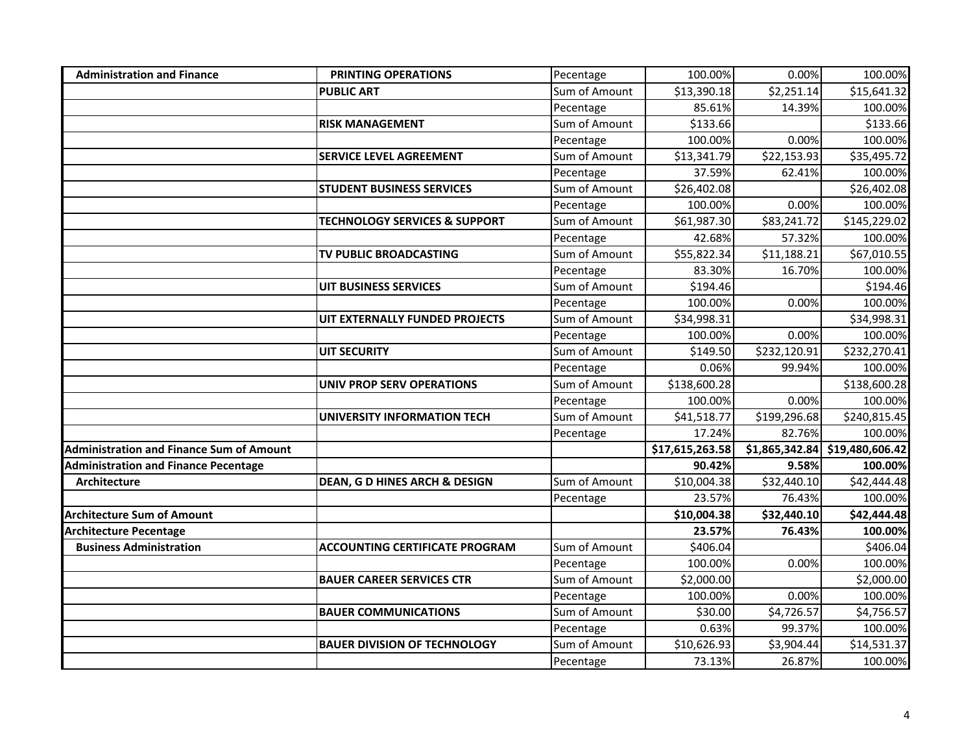| <b>Administration and Finance</b>               | <b>PRINTING OPERATIONS</b>               | Pecentage     | 100.00%         | 0.00%        | 100.00%                        |
|-------------------------------------------------|------------------------------------------|---------------|-----------------|--------------|--------------------------------|
|                                                 | <b>PUBLIC ART</b>                        | Sum of Amount | \$13,390.18     | \$2,251.14   | \$15,641.32                    |
|                                                 |                                          | Pecentage     | 85.61%          | 14.39%       | 100.00%                        |
|                                                 | <b>RISK MANAGEMENT</b>                   | Sum of Amount | \$133.66        |              | \$133.66                       |
|                                                 |                                          | Pecentage     | 100.00%         | 0.00%        | 100.00%                        |
|                                                 | SERVICE LEVEL AGREEMENT                  | Sum of Amount | \$13,341.79     | \$22,153.93  | \$35,495.72                    |
|                                                 |                                          | Pecentage     | 37.59%          | 62.41%       | 100.00%                        |
|                                                 | <b>STUDENT BUSINESS SERVICES</b>         | Sum of Amount | \$26,402.08     |              | \$26,402.08                    |
|                                                 |                                          | Pecentage     | 100.00%         | 0.00%        | 100.00%                        |
|                                                 | <b>TECHNOLOGY SERVICES &amp; SUPPORT</b> | Sum of Amount | \$61,987.30     | \$83,241.72  | \$145,229.02                   |
|                                                 |                                          | Pecentage     | 42.68%          | 57.32%       | 100.00%                        |
|                                                 | TV PUBLIC BROADCASTING                   | Sum of Amount | \$55,822.34     | \$11,188.21  | \$67,010.55                    |
|                                                 |                                          | Pecentage     | 83.30%          | 16.70%       | 100.00%                        |
|                                                 | UIT BUSINESS SERVICES                    | Sum of Amount | \$194.46        |              | \$194.46                       |
|                                                 |                                          | Pecentage     | 100.00%         | 0.00%        | 100.00%                        |
|                                                 | UIT EXTERNALLY FUNDED PROJECTS           | Sum of Amount | \$34,998.31     |              | \$34,998.31                    |
|                                                 |                                          | Pecentage     | 100.00%         | 0.00%        | 100.00%                        |
|                                                 | <b>UIT SECURITY</b>                      | Sum of Amount | \$149.50        | \$232,120.91 | \$232,270.41                   |
|                                                 |                                          | Pecentage     | 0.06%           | 99.94%       | 100.00%                        |
|                                                 | <b>UNIV PROP SERV OPERATIONS</b>         | Sum of Amount | \$138,600.28    |              | \$138,600.28                   |
|                                                 |                                          | Pecentage     | 100.00%         | 0.00%        | 100.00%                        |
|                                                 | <b>UNIVERSITY INFORMATION TECH</b>       | Sum of Amount | \$41,518.77     | \$199,296.68 | \$240,815.45                   |
|                                                 |                                          | Pecentage     | 17.24%          | 82.76%       | 100.00%                        |
| <b>Administration and Finance Sum of Amount</b> |                                          |               | \$17,615,263.58 |              | \$1,865,342.84 \$19,480,606.42 |
| <b>Administration and Finance Pecentage</b>     |                                          |               | 90.42%          | 9.58%        | 100.00%                        |
| <b>Architecture</b>                             | <b>DEAN, G D HINES ARCH &amp; DESIGN</b> | Sum of Amount | \$10,004.38     | \$32,440.10  | \$42,444.48                    |
|                                                 |                                          | Pecentage     | 23.57%          | 76.43%       | 100.00%                        |
| <b>Architecture Sum of Amount</b>               |                                          |               | \$10,004.38     | \$32,440.10  | \$42,444.48                    |
| <b>Architecture Pecentage</b>                   |                                          |               | 23.57%          | 76.43%       | 100.00%                        |
| <b>Business Administration</b>                  | <b>ACCOUNTING CERTIFICATE PROGRAM</b>    | Sum of Amount | \$406.04        |              | \$406.04                       |
|                                                 |                                          | Pecentage     | 100.00%         | 0.00%        | 100.00%                        |
|                                                 | <b>BAUER CAREER SERVICES CTR</b>         | Sum of Amount | \$2,000.00      |              | \$2,000.00                     |
|                                                 |                                          | Pecentage     | 100.00%         | 0.00%        | 100.00%                        |
|                                                 | <b>BAUER COMMUNICATIONS</b>              | Sum of Amount | \$30.00         | \$4,726.57   | \$4,756.57                     |
|                                                 |                                          | Pecentage     | 0.63%           | 99.37%       | 100.00%                        |
|                                                 | <b>BAUER DIVISION OF TECHNOLOGY</b>      | Sum of Amount | \$10,626.93     | \$3,904.44   | \$14,531.37                    |
|                                                 |                                          | Pecentage     | 73.13%          | 26.87%       | 100.00%                        |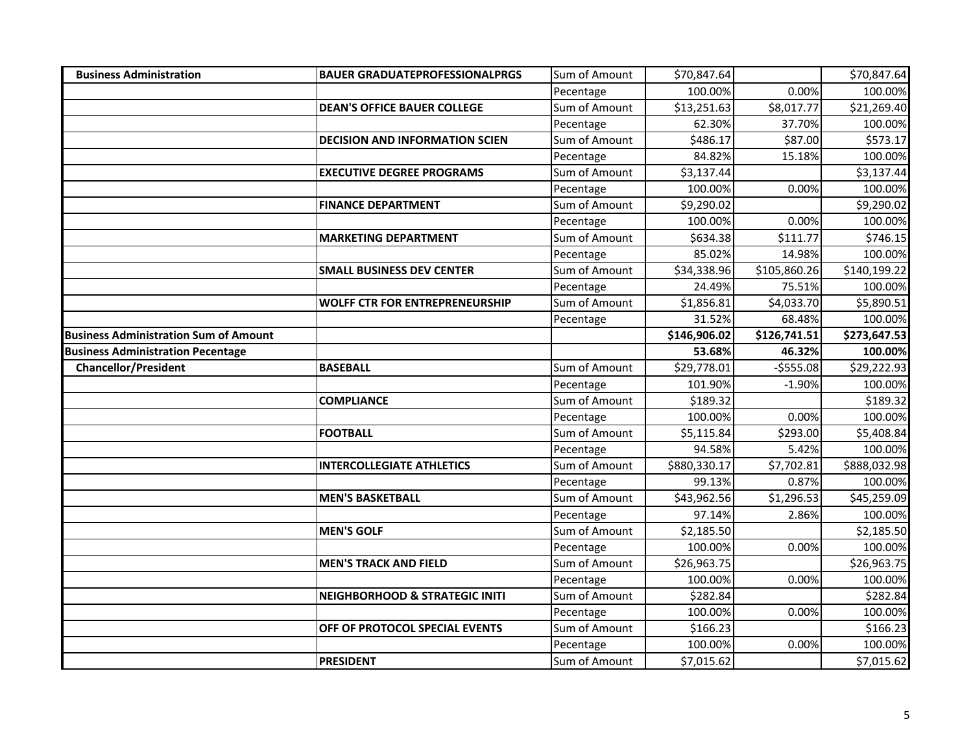| <b>Business Administration</b>               | <b>BAUER GRADUATEPROFESSIONALPRGS</b>     | Sum of Amount | \$70,847.64  |              | \$70,847.64  |
|----------------------------------------------|-------------------------------------------|---------------|--------------|--------------|--------------|
|                                              |                                           | Pecentage     | 100.00%      | 0.00%        | 100.00%      |
|                                              | <b>DEAN'S OFFICE BAUER COLLEGE</b>        | Sum of Amount | \$13,251.63  | \$8,017.77   | \$21,269.40  |
|                                              |                                           | Pecentage     | 62.30%       | 37.70%       | 100.00%      |
|                                              | <b>DECISION AND INFORMATION SCIEN</b>     | Sum of Amount | \$486.17     | \$87.00      | \$573.17     |
|                                              |                                           | Pecentage     | 84.82%       | 15.18%       | 100.00%      |
|                                              | <b>EXECUTIVE DEGREE PROGRAMS</b>          | Sum of Amount | \$3,137.44   |              | \$3,137.44   |
|                                              |                                           | Pecentage     | 100.00%      | 0.00%        | 100.00%      |
|                                              | <b>FINANCE DEPARTMENT</b>                 | Sum of Amount | \$9,290.02   |              | \$9,290.02   |
|                                              |                                           | Pecentage     | 100.00%      | 0.00%        | 100.00%      |
|                                              | <b>MARKETING DEPARTMENT</b>               | Sum of Amount | \$634.38     | \$111.77     | \$746.15     |
|                                              |                                           | Pecentage     | 85.02%       | 14.98%       | 100.00%      |
|                                              | <b>SMALL BUSINESS DEV CENTER</b>          | Sum of Amount | \$34,338.96  | \$105,860.26 | \$140,199.22 |
|                                              |                                           | Pecentage     | 24.49%       | 75.51%       | 100.00%      |
|                                              | <b>WOLFF CTR FOR ENTREPRENEURSHIP</b>     | Sum of Amount | \$1,856.81   | \$4,033.70   | \$5,890.51   |
|                                              |                                           | Pecentage     | 31.52%       | 68.48%       | 100.00%      |
| <b>Business Administration Sum of Amount</b> |                                           |               | \$146,906.02 | \$126,741.51 | \$273,647.53 |
| <b>Business Administration Pecentage</b>     |                                           |               | 53.68%       | 46.32%       | 100.00%      |
| <b>Chancellor/President</b>                  | <b>BASEBALL</b>                           | Sum of Amount | \$29,778.01  | $-5555.08$   | \$29,222.93  |
|                                              |                                           | Pecentage     | 101.90%      | $-1.90%$     | 100.00%      |
|                                              | <b>COMPLIANCE</b>                         | Sum of Amount | \$189.32     |              | \$189.32     |
|                                              |                                           | Pecentage     | 100.00%      | 0.00%        | 100.00%      |
|                                              | <b>FOOTBALL</b>                           | Sum of Amount | \$5,115.84   | \$293.00     | \$5,408.84   |
|                                              |                                           | Pecentage     | 94.58%       | 5.42%        | 100.00%      |
|                                              | <b>INTERCOLLEGIATE ATHLETICS</b>          | Sum of Amount | \$880,330.17 | \$7,702.81   | \$888,032.98 |
|                                              |                                           | Pecentage     | 99.13%       | 0.87%        | 100.00%      |
|                                              | <b>MEN'S BASKETBALL</b>                   | Sum of Amount | \$43,962.56  | \$1,296.53   | \$45,259.09  |
|                                              |                                           | Pecentage     | 97.14%       | 2.86%        | 100.00%      |
|                                              | <b>MEN'S GOLF</b>                         | Sum of Amount | \$2,185.50   |              | \$2,185.50   |
|                                              |                                           | Pecentage     | 100.00%      | 0.00%        | 100.00%      |
|                                              | <b>MEN'S TRACK AND FIELD</b>              | Sum of Amount | \$26,963.75  |              | \$26,963.75  |
|                                              |                                           | Pecentage     | 100.00%      | 0.00%        | 100.00%      |
|                                              | <b>NEIGHBORHOOD &amp; STRATEGIC INITI</b> | Sum of Amount | \$282.84     |              | \$282.84     |
|                                              |                                           | Pecentage     | 100.00%      | 0.00%        | 100.00%      |
|                                              | OFF OF PROTOCOL SPECIAL EVENTS            | Sum of Amount | \$166.23     |              | \$166.23     |
|                                              |                                           | Pecentage     | 100.00%      | 0.00%        | 100.00%      |
|                                              | <b>PRESIDENT</b>                          | Sum of Amount | \$7,015.62   |              | \$7,015.62   |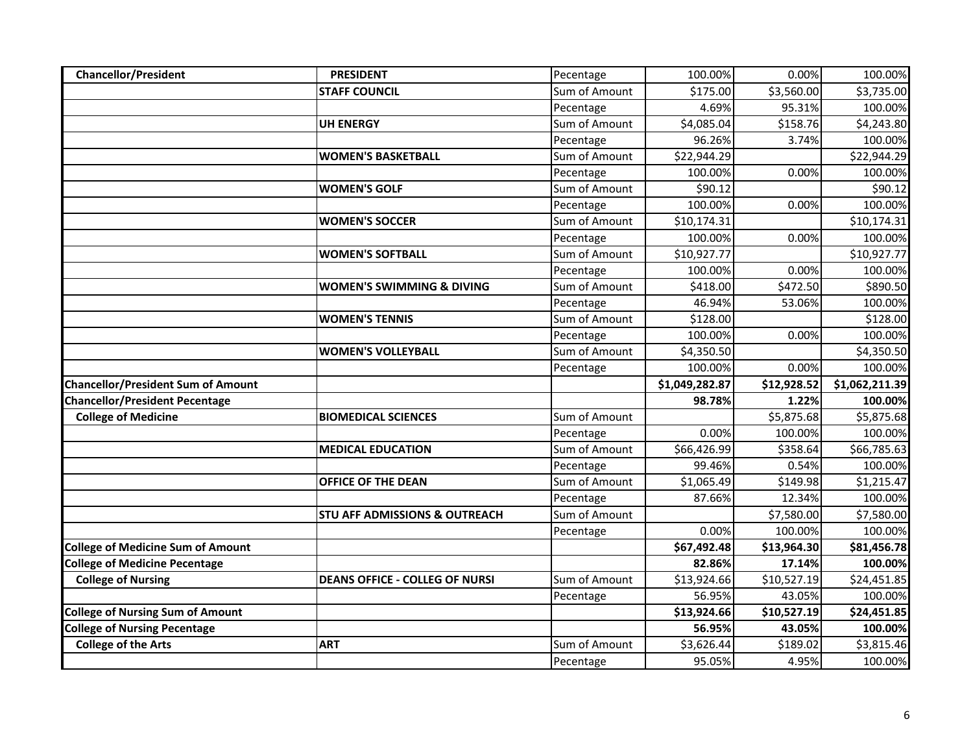| <b>Chancellor/President</b>               | <b>PRESIDENT</b>                         | Pecentage     | 100.00%              | 0.00%             | 100.00%               |
|-------------------------------------------|------------------------------------------|---------------|----------------------|-------------------|-----------------------|
|                                           | <b>STAFF COUNCIL</b>                     | Sum of Amount | \$175.00             | \$3,560.00        | \$3,735.00            |
|                                           |                                          | Pecentage     | 4.69%                | 95.31%            | 100.00%               |
|                                           | <b>UH ENERGY</b>                         | Sum of Amount | \$4,085.04           | \$158.76          | \$4,243.80            |
|                                           |                                          | Pecentage     | 96.26%               | 3.74%             | 100.00%               |
|                                           | <b>WOMEN'S BASKETBALL</b>                | Sum of Amount | \$22,944.29          |                   | \$22,944.29           |
|                                           |                                          | Pecentage     | 100.00%              | 0.00%             | 100.00%               |
|                                           | <b>WOMEN'S GOLF</b>                      | Sum of Amount | \$90.12              |                   | \$90.12               |
|                                           |                                          | Pecentage     | 100.00%              | 0.00%             | 100.00%               |
|                                           | <b>WOMEN'S SOCCER</b>                    | Sum of Amount | \$10,174.31          |                   | \$10,174.31           |
|                                           |                                          | Pecentage     | 100.00%              | 0.00%             | 100.00%               |
|                                           | <b>WOMEN'S SOFTBALL</b>                  | Sum of Amount | \$10,927.77          |                   | \$10,927.77           |
|                                           |                                          | Pecentage     | 100.00%              | 0.00%             | 100.00%               |
|                                           | <b>WOMEN'S SWIMMING &amp; DIVING</b>     | Sum of Amount | \$418.00             | \$472.50          | \$890.50              |
|                                           |                                          | Pecentage     | 46.94%               | 53.06%            | 100.00%               |
|                                           | <b>WOMEN'S TENNIS</b>                    | Sum of Amount | \$128.00             |                   | \$128.00              |
|                                           |                                          | Pecentage     | 100.00%              | 0.00%             | 100.00%               |
|                                           | <b>WOMEN'S VOLLEYBALL</b>                | Sum of Amount | \$4,350.50           |                   | \$4,350.50            |
|                                           |                                          | Pecentage     | 100.00%              | 0.00%             | 100.00%               |
|                                           |                                          |               |                      |                   |                       |
| <b>Chancellor/President Sum of Amount</b> |                                          |               | \$1,049,282.87       | \$12,928.52       | \$1,062,211.39        |
| <b>Chancellor/President Pecentage</b>     |                                          |               | 98.78%               | 1.22%             | 100.00%               |
| <b>College of Medicine</b>                | <b>BIOMEDICAL SCIENCES</b>               | Sum of Amount |                      | \$5,875.68        | \$5,875.68            |
|                                           |                                          | Pecentage     | 0.00%                | 100.00%           | 100.00%               |
|                                           | <b>MEDICAL EDUCATION</b>                 | Sum of Amount | \$66,426.99          | \$358.64          | \$66,785.63           |
|                                           |                                          | Pecentage     | 99.46%               | 0.54%             | 100.00%               |
|                                           | <b>OFFICE OF THE DEAN</b>                | Sum of Amount | \$1,065.49           | \$149.98          | \$1,215.47            |
|                                           |                                          | Pecentage     | 87.66%               | 12.34%            | 100.00%               |
|                                           | <b>STU AFF ADMISSIONS &amp; OUTREACH</b> | Sum of Amount |                      | \$7,580.00        | \$7,580.00            |
|                                           |                                          | Pecentage     | 0.00%                | 100.00%           | 100.00%               |
| <b>College of Medicine Sum of Amount</b>  |                                          |               | \$67,492.48          | \$13,964.30       | \$81,456.78           |
| <b>College of Medicine Pecentage</b>      |                                          |               | 82.86%               | 17.14%            | 100.00%               |
| <b>College of Nursing</b>                 | <b>DEANS OFFICE - COLLEG OF NURSI</b>    | Sum of Amount | \$13,924.66          | \$10,527.19       | \$24,451.85           |
|                                           |                                          | Pecentage     | 56.95%               | 43.05%            | 100.00%               |
| <b>College of Nursing Sum of Amount</b>   |                                          |               | \$13,924.66          | \$10,527.19       | \$24,451.85           |
| <b>College of Nursing Pecentage</b>       |                                          |               | 56.95%               | 43.05%            | 100.00%               |
| <b>College of the Arts</b>                | <b>ART</b>                               | Sum of Amount | \$3,626.44<br>95.05% | \$189.02<br>4.95% | \$3,815.46<br>100.00% |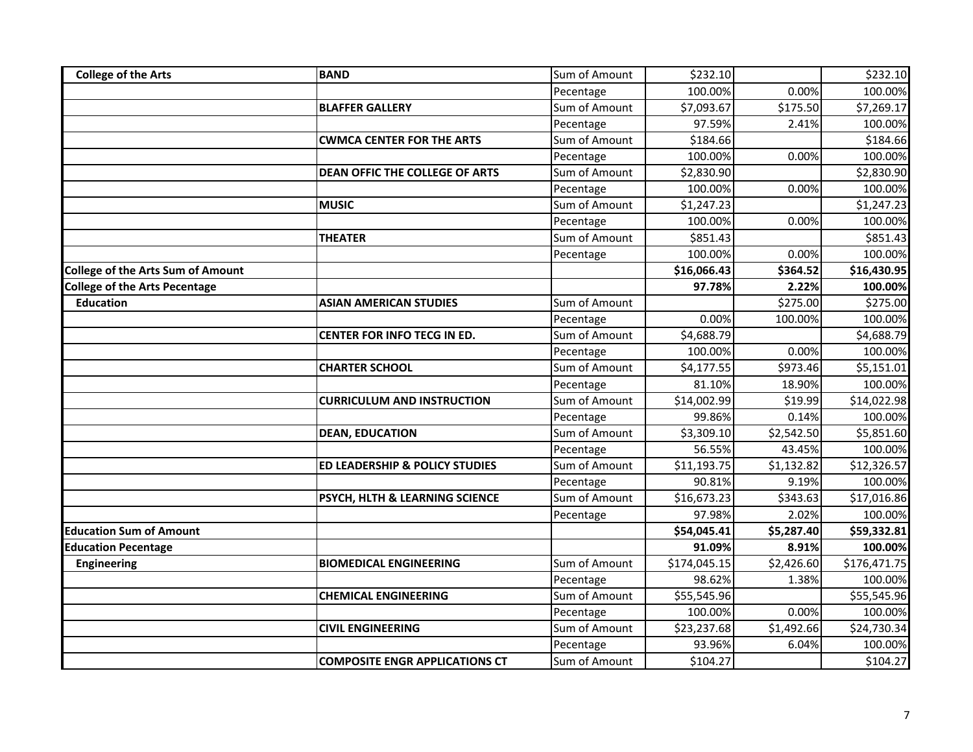| <b>College of the Arts</b>               | <b>BAND</b>                               | Sum of Amount | \$232.10     |            | \$232.10     |
|------------------------------------------|-------------------------------------------|---------------|--------------|------------|--------------|
|                                          |                                           | Pecentage     | 100.00%      | 0.00%      | 100.00%      |
|                                          | <b>BLAFFER GALLERY</b>                    | Sum of Amount | \$7,093.67   | \$175.50   | \$7,269.17   |
|                                          |                                           | Pecentage     | 97.59%       | 2.41%      | 100.00%      |
|                                          | <b>CWMCA CENTER FOR THE ARTS</b>          | Sum of Amount | \$184.66     |            | \$184.66     |
|                                          |                                           | Pecentage     | 100.00%      | 0.00%      | 100.00%      |
|                                          | DEAN OFFIC THE COLLEGE OF ARTS            | Sum of Amount | \$2,830.90   |            | \$2,830.90   |
|                                          |                                           | Pecentage     | 100.00%      | 0.00%      | 100.00%      |
|                                          | <b>MUSIC</b>                              | Sum of Amount | \$1,247.23   |            | \$1,247.23   |
|                                          |                                           | Pecentage     | 100.00%      | 0.00%      | 100.00%      |
|                                          | <b>THEATER</b>                            | Sum of Amount | \$851.43     |            | \$851.43     |
|                                          |                                           | Pecentage     | 100.00%      | 0.00%      | 100.00%      |
| <b>College of the Arts Sum of Amount</b> |                                           |               | \$16,066.43  | \$364.52   | \$16,430.95  |
| <b>College of the Arts Pecentage</b>     |                                           |               | 97.78%       | 2.22%      | 100.00%      |
| <b>Education</b>                         | <b>ASIAN AMERICAN STUDIES</b>             | Sum of Amount |              | \$275.00   | \$275.00     |
|                                          |                                           | Pecentage     | 0.00%        | 100.00%    | 100.00%      |
|                                          | <b>CENTER FOR INFO TECG IN ED.</b>        | Sum of Amount | \$4,688.79   |            | \$4,688.79   |
|                                          |                                           | Pecentage     | 100.00%      | 0.00%      | 100.00%      |
|                                          | <b>CHARTER SCHOOL</b>                     | Sum of Amount | \$4,177.55   | \$973.46   | \$5,151.01   |
|                                          |                                           | Pecentage     | 81.10%       | 18.90%     | 100.00%      |
|                                          | <b>CURRICULUM AND INSTRUCTION</b>         | Sum of Amount | \$14,002.99  | \$19.99    | \$14,022.98  |
|                                          |                                           | Pecentage     | 99.86%       | 0.14%      | 100.00%      |
|                                          | <b>DEAN, EDUCATION</b>                    | Sum of Amount | \$3,309.10   | \$2,542.50 | \$5,851.60   |
|                                          |                                           | Pecentage     | 56.55%       | 43.45%     | 100.00%      |
|                                          | <b>ED LEADERSHIP &amp; POLICY STUDIES</b> | Sum of Amount | \$11,193.75  | \$1,132.82 | \$12,326.57  |
|                                          |                                           | Pecentage     | 90.81%       | 9.19%      | 100.00%      |
|                                          | PSYCH, HLTH & LEARNING SCIENCE            | Sum of Amount | \$16,673.23  | \$343.63   | \$17,016.86  |
|                                          |                                           | Pecentage     | 97.98%       | 2.02%      | 100.00%      |
| <b>Education Sum of Amount</b>           |                                           |               | \$54,045.41  | \$5,287.40 | \$59,332.81  |
| <b>Education Pecentage</b>               |                                           |               | 91.09%       | 8.91%      | 100.00%      |
| <b>Engineering</b>                       | <b>BIOMEDICAL ENGINEERING</b>             | Sum of Amount | \$174,045.15 | \$2,426.60 | \$176,471.75 |
|                                          |                                           | Pecentage     | 98.62%       | 1.38%      | 100.00%      |
|                                          | <b>CHEMICAL ENGINEERING</b>               | Sum of Amount | \$55,545.96  |            | \$55,545.96  |
|                                          |                                           | Pecentage     | 100.00%      | 0.00%      | 100.00%      |
|                                          | <b>CIVIL ENGINEERING</b>                  | Sum of Amount | \$23,237.68  | \$1,492.66 | \$24,730.34  |
|                                          |                                           | Pecentage     | 93.96%       | 6.04%      | 100.00%      |
|                                          | <b>COMPOSITE ENGR APPLICATIONS CT</b>     | Sum of Amount | \$104.27     |            | \$104.27     |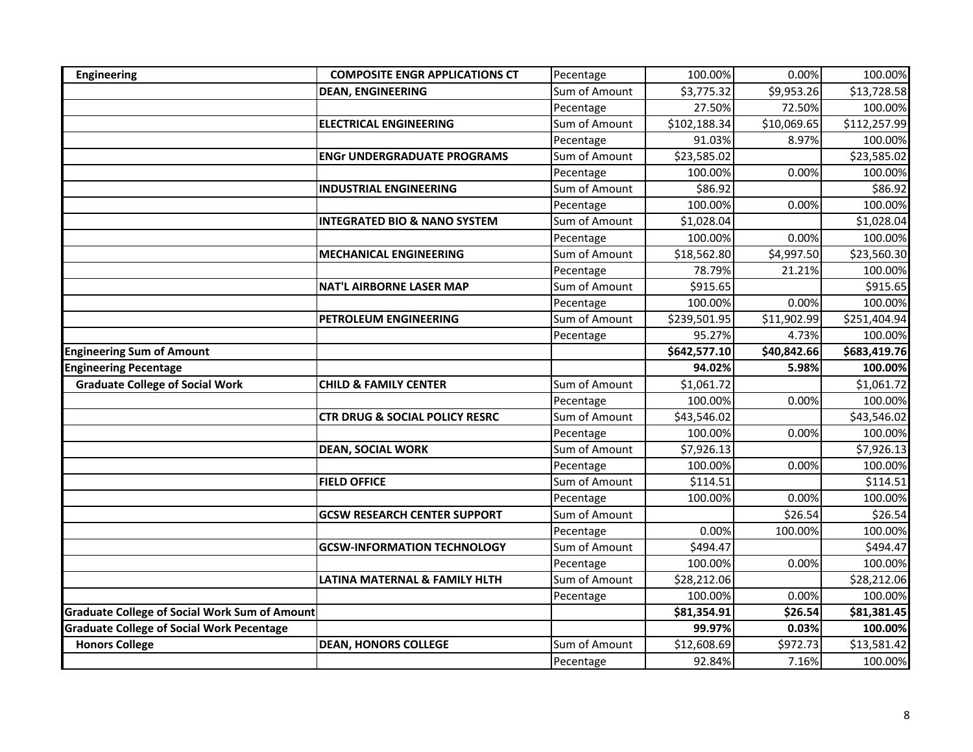| <b>Engineering</b>                                                                                       | <b>COMPOSITE ENGR APPLICATIONS CT</b>     | Pecentage     | 100.00%               | 0.00%             | 100.00%                |
|----------------------------------------------------------------------------------------------------------|-------------------------------------------|---------------|-----------------------|-------------------|------------------------|
|                                                                                                          | <b>DEAN, ENGINEERING</b>                  | Sum of Amount | \$3,775.32            | \$9,953.26        | \$13,728.58            |
|                                                                                                          |                                           | Pecentage     | 27.50%                | 72.50%            | 100.00%                |
|                                                                                                          | <b>ELECTRICAL ENGINEERING</b>             | Sum of Amount | \$102,188.34          | \$10,069.65       | \$112,257.99           |
|                                                                                                          |                                           | Pecentage     | 91.03%                | 8.97%             | 100.00%                |
|                                                                                                          | <b>ENGr UNDERGRADUATE PROGRAMS</b>        | Sum of Amount | \$23,585.02           |                   | \$23,585.02            |
|                                                                                                          |                                           | Pecentage     | 100.00%               | 0.00%             | 100.00%                |
|                                                                                                          | <b>INDUSTRIAL ENGINEERING</b>             | Sum of Amount | \$86.92               |                   | \$86.92                |
|                                                                                                          |                                           | Pecentage     | 100.00%               | 0.00%             | 100.00%                |
|                                                                                                          | <b>INTEGRATED BIO &amp; NANO SYSTEM</b>   | Sum of Amount | \$1,028.04            |                   | \$1,028.04             |
|                                                                                                          |                                           | Pecentage     | 100.00%               | 0.00%             | 100.00%                |
|                                                                                                          | <b>MECHANICAL ENGINEERING</b>             | Sum of Amount | \$18,562.80           | \$4,997.50        | \$23,560.30            |
|                                                                                                          |                                           | Pecentage     | 78.79%                | 21.21%            | 100.00%                |
|                                                                                                          | <b>NAT'L AIRBORNE LASER MAP</b>           | Sum of Amount | \$915.65              |                   | \$915.65               |
|                                                                                                          |                                           | Pecentage     | 100.00%               | 0.00%             | 100.00%                |
|                                                                                                          | PETROLEUM ENGINEERING                     | Sum of Amount | \$239,501.95          | \$11,902.99       | \$251,404.94           |
|                                                                                                          |                                           | Pecentage     | 95.27%                | 4.73%             | 100.00%                |
| <b>Engineering Sum of Amount</b>                                                                         |                                           |               | \$642,577.10          | \$40,842.66       | \$683,419.76           |
| <b>Engineering Pecentage</b>                                                                             |                                           |               | 94.02%                | 5.98%             | 100.00%                |
| <b>Graduate College of Social Work</b>                                                                   | <b>CHILD &amp; FAMILY CENTER</b>          | Sum of Amount | \$1,061.72            |                   | \$1,061.72             |
|                                                                                                          |                                           | Pecentage     | 100.00%               | 0.00%             | 100.00%                |
|                                                                                                          | <b>CTR DRUG &amp; SOCIAL POLICY RESRC</b> | Sum of Amount | \$43,546.02           |                   | \$43,546.02            |
|                                                                                                          |                                           | Pecentage     | 100.00%               | 0.00%             | 100.00%                |
|                                                                                                          | <b>DEAN, SOCIAL WORK</b>                  | Sum of Amount | \$7,926.13            |                   | \$7,926.13             |
|                                                                                                          |                                           | Pecentage     | 100.00%               | 0.00%             | 100.00%                |
|                                                                                                          | <b>FIELD OFFICE</b>                       | Sum of Amount | \$114.51              |                   | \$114.51               |
|                                                                                                          |                                           | Pecentage     | 100.00%               | 0.00%             | 100.00%                |
|                                                                                                          | <b>GCSW RESEARCH CENTER SUPPORT</b>       | Sum of Amount |                       | \$26.54           | \$26.54                |
|                                                                                                          |                                           | Pecentage     | 0.00%                 | 100.00%           | 100.00%                |
|                                                                                                          |                                           |               |                       |                   |                        |
|                                                                                                          | <b>GCSW-INFORMATION TECHNOLOGY</b>        | Sum of Amount | \$494.47              |                   | \$494.47               |
|                                                                                                          |                                           | Pecentage     | 100.00%               | 0.00%             | 100.00%                |
|                                                                                                          | LATINA MATERNAL & FAMILY HLTH             | Sum of Amount | \$28,212.06           |                   | \$28,212.06            |
|                                                                                                          |                                           | Pecentage     | 100.00%               | 0.00%             | 100.00%                |
|                                                                                                          |                                           |               | \$81,354.91           | \$26.54           | \$81,381.45            |
| <b>Graduate College of Social Work Sum of Amount</b><br><b>Graduate College of Social Work Pecentage</b> |                                           |               | 99.97%                | 0.03%             | 100.00%                |
| <b>Honors College</b>                                                                                    | <b>DEAN, HONORS COLLEGE</b>               | Sum of Amount | \$12,608.69<br>92.84% | \$972.73<br>7.16% | \$13,581.42<br>100.00% |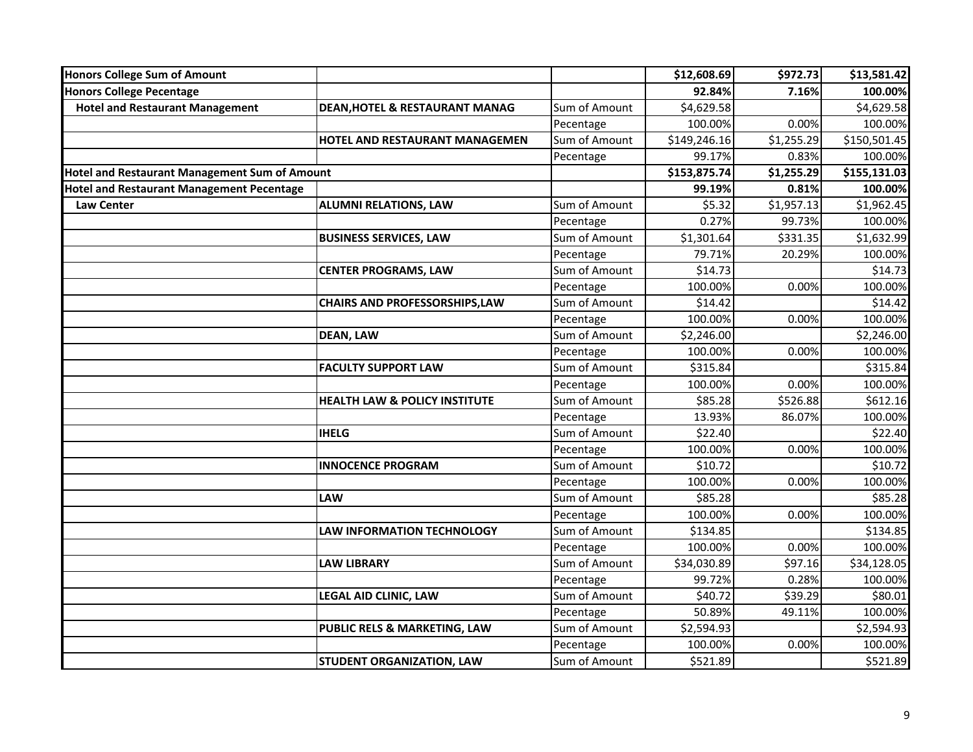| <b>Honors College Sum of Amount</b>              |                                           |               | \$12,608.69  | \$972.73   | \$13,581.42  |
|--------------------------------------------------|-------------------------------------------|---------------|--------------|------------|--------------|
| <b>Honors College Pecentage</b>                  |                                           |               | 92.84%       | 7.16%      | 100.00%      |
| <b>Hotel and Restaurant Management</b>           | <b>DEAN, HOTEL &amp; RESTAURANT MANAG</b> | Sum of Amount | \$4,629.58   |            | \$4,629.58   |
|                                                  |                                           | Pecentage     | 100.00%      | 0.00%      | 100.00%      |
|                                                  | <b>HOTEL AND RESTAURANT MANAGEMEN</b>     | Sum of Amount | \$149,246.16 | \$1,255.29 | \$150,501.45 |
|                                                  |                                           | Pecentage     | 99.17%       | 0.83%      | 100.00%      |
| Hotel and Restaurant Management Sum of Amount    |                                           |               | \$153,875.74 | \$1,255.29 | \$155,131.03 |
| <b>Hotel and Restaurant Management Pecentage</b> |                                           |               | 99.19%       | 0.81%      | 100.00%      |
| <b>Law Center</b>                                | <b>ALUMNI RELATIONS, LAW</b>              | Sum of Amount | \$5.32       | \$1,957.13 | \$1,962.45   |
|                                                  |                                           | Pecentage     | 0.27%        | 99.73%     | 100.00%      |
|                                                  | <b>BUSINESS SERVICES, LAW</b>             | Sum of Amount | \$1,301.64   | \$331.35   | \$1,632.99   |
|                                                  |                                           | Pecentage     | 79.71%       | 20.29%     | 100.00%      |
|                                                  | <b>CENTER PROGRAMS, LAW</b>               | Sum of Amount | \$14.73      |            | \$14.73      |
|                                                  |                                           | Pecentage     | 100.00%      | 0.00%      | 100.00%      |
|                                                  | <b>CHAIRS AND PROFESSORSHIPS,LAW</b>      | Sum of Amount | \$14.42      |            | \$14.42      |
|                                                  |                                           | Pecentage     | 100.00%      | 0.00%      | 100.00%      |
|                                                  | <b>DEAN, LAW</b>                          | Sum of Amount | \$2,246.00   |            | \$2,246.00   |
|                                                  |                                           | Pecentage     | 100.00%      | 0.00%      | 100.00%      |
|                                                  | <b>FACULTY SUPPORT LAW</b>                | Sum of Amount | \$315.84     |            | \$315.84     |
|                                                  |                                           | Pecentage     | 100.00%      | 0.00%      | 100.00%      |
|                                                  | <b>HEALTH LAW &amp; POLICY INSTITUTE</b>  | Sum of Amount | \$85.28      | \$526.88   | \$612.16     |
|                                                  |                                           | Pecentage     | 13.93%       | 86.07%     | 100.00%      |
|                                                  | <b>IHELG</b>                              | Sum of Amount | \$22.40      |            | \$22.40      |
|                                                  |                                           | Pecentage     | 100.00%      | 0.00%      | 100.00%      |
|                                                  | <b>INNOCENCE PROGRAM</b>                  | Sum of Amount | \$10.72      |            | \$10.72      |
|                                                  |                                           | Pecentage     | 100.00%      | 0.00%      | 100.00%      |
|                                                  | <b>LAW</b>                                | Sum of Amount | \$85.28      |            | \$85.28      |
|                                                  |                                           | Pecentage     | 100.00%      | 0.00%      | 100.00%      |
|                                                  | <b>LAW INFORMATION TECHNOLOGY</b>         | Sum of Amount | \$134.85     |            | \$134.85     |
|                                                  |                                           | Pecentage     | 100.00%      | 0.00%      | 100.00%      |
|                                                  | <b>LAW LIBRARY</b>                        | Sum of Amount | \$34,030.89  | \$97.16    | \$34,128.05  |
|                                                  |                                           | Pecentage     | 99.72%       | 0.28%      | 100.00%      |
|                                                  | <b>LEGAL AID CLINIC, LAW</b>              | Sum of Amount | \$40.72      | \$39.29    | \$80.01      |
|                                                  |                                           | Pecentage     | 50.89%       | 49.11%     | 100.00%      |
|                                                  | PUBLIC RELS & MARKETING, LAW              | Sum of Amount | \$2,594.93   |            | \$2,594.93   |
|                                                  |                                           | Pecentage     | 100.00%      | 0.00%      | 100.00%      |
|                                                  | <b>STUDENT ORGANIZATION, LAW</b>          | Sum of Amount | \$521.89     |            | \$521.89     |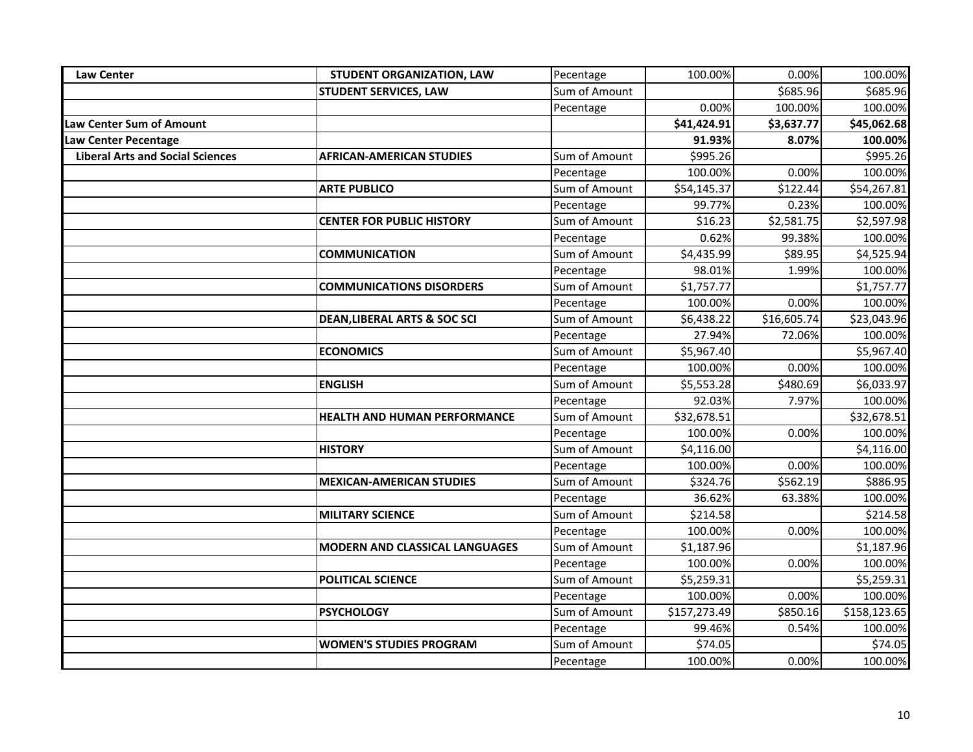| <b>Law Center</b>                       | STUDENT ORGANIZATION, LAW               | Pecentage     | 100.00%      | 0.00%       | 100.00%      |
|-----------------------------------------|-----------------------------------------|---------------|--------------|-------------|--------------|
|                                         | <b>STUDENT SERVICES, LAW</b>            | Sum of Amount |              | \$685.96    | \$685.96     |
|                                         |                                         | Pecentage     | 0.00%        | 100.00%     | 100.00%      |
| Law Center Sum of Amount                |                                         |               | \$41,424.91  | \$3,637.77  | \$45,062.68  |
| <b>Law Center Pecentage</b>             |                                         |               | 91.93%       | 8.07%       | 100.00%      |
| <b>Liberal Arts and Social Sciences</b> | <b>AFRICAN-AMERICAN STUDIES</b>         | Sum of Amount | \$995.26     |             | \$995.26     |
|                                         |                                         | Pecentage     | 100.00%      | 0.00%       | 100.00%      |
|                                         | <b>ARTE PUBLICO</b>                     | Sum of Amount | \$54,145.37  | \$122.44    | \$54,267.81  |
|                                         |                                         | Pecentage     | 99.77%       | 0.23%       | 100.00%      |
|                                         | <b>CENTER FOR PUBLIC HISTORY</b>        | Sum of Amount | \$16.23      | \$2,581.75  | \$2,597.98   |
|                                         |                                         | Pecentage     | 0.62%        | 99.38%      | 100.00%      |
|                                         | <b>COMMUNICATION</b>                    | Sum of Amount | \$4,435.99   | \$89.95     | \$4,525.94   |
|                                         |                                         | Pecentage     | 98.01%       | 1.99%       | 100.00%      |
|                                         | <b>COMMUNICATIONS DISORDERS</b>         | Sum of Amount | \$1,757.77   |             | \$1,757.77   |
|                                         |                                         | Pecentage     | 100.00%      | 0.00%       | 100.00%      |
|                                         | <b>DEAN, LIBERAL ARTS &amp; SOC SCI</b> | Sum of Amount | \$6,438.22   | \$16,605.74 | \$23,043.96  |
|                                         |                                         | Pecentage     | 27.94%       | 72.06%      | 100.00%      |
|                                         | <b>ECONOMICS</b>                        | Sum of Amount | \$5,967.40   |             | \$5,967.40   |
|                                         |                                         | Pecentage     | 100.00%      | 0.00%       | 100.00%      |
|                                         | <b>ENGLISH</b>                          | Sum of Amount | \$5,553.28   | \$480.69    | \$6,033.97   |
|                                         |                                         | Pecentage     | 92.03%       | 7.97%       | 100.00%      |
|                                         | <b>HEALTH AND HUMAN PERFORMANCE</b>     | Sum of Amount | \$32,678.51  |             | \$32,678.51  |
|                                         |                                         | Pecentage     | 100.00%      | 0.00%       | 100.00%      |
|                                         | <b>HISTORY</b>                          | Sum of Amount | \$4,116.00   |             | \$4,116.00   |
|                                         |                                         | Pecentage     | 100.00%      | 0.00%       | 100.00%      |
|                                         | <b>MEXICAN-AMERICAN STUDIES</b>         | Sum of Amount | \$324.76     | \$562.19    | \$886.95     |
|                                         |                                         | Pecentage     | 36.62%       | 63.38%      | 100.00%      |
|                                         | <b>MILITARY SCIENCE</b>                 | Sum of Amount | \$214.58     |             | \$214.58     |
|                                         |                                         | Pecentage     | 100.00%      | 0.00%       | 100.00%      |
|                                         | <b>MODERN AND CLASSICAL LANGUAGES</b>   | Sum of Amount | \$1,187.96   |             | \$1,187.96   |
|                                         |                                         | Pecentage     | 100.00%      | 0.00%       | 100.00%      |
|                                         | POLITICAL SCIENCE                       | Sum of Amount | \$5,259.31   |             | \$5,259.31   |
|                                         |                                         | Pecentage     | 100.00%      | 0.00%       | 100.00%      |
|                                         | <b>PSYCHOLOGY</b>                       | Sum of Amount | \$157,273.49 | \$850.16    | \$158,123.65 |
|                                         |                                         | Pecentage     | 99.46%       | 0.54%       | 100.00%      |
|                                         | <b>WOMEN'S STUDIES PROGRAM</b>          | Sum of Amount | \$74.05      |             | \$74.05      |
|                                         |                                         | Pecentage     | 100.00%      | 0.00%       | 100.00%      |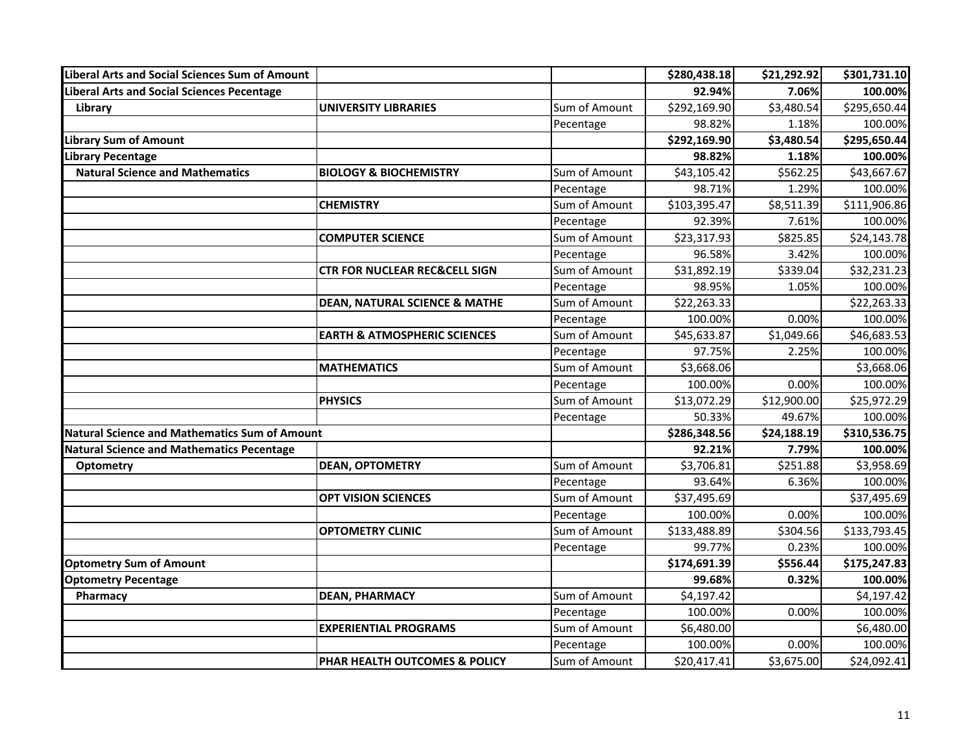| <b>Liberal Arts and Social Sciences Sum of Amount</b> |                                          |               | \$280,438.18 | \$21,292.92 | \$301,731.10 |
|-------------------------------------------------------|------------------------------------------|---------------|--------------|-------------|--------------|
| Liberal Arts and Social Sciences Pecentage            |                                          |               | 92.94%       | 7.06%       | 100.00%      |
| Library                                               | <b>UNIVERSITY LIBRARIES</b>              | Sum of Amount | \$292,169.90 | \$3,480.54  | \$295,650.44 |
|                                                       |                                          | Pecentage     | 98.82%       | 1.18%       | 100.00%      |
| <b>Library Sum of Amount</b>                          |                                          |               | \$292,169.90 | \$3,480.54  | \$295,650.44 |
| Library Pecentage                                     |                                          |               | 98.82%       | 1.18%       | 100.00%      |
| <b>Natural Science and Mathematics</b>                | <b>BIOLOGY &amp; BIOCHEMISTRY</b>        | Sum of Amount | \$43,105.42  | \$562.25    | \$43,667.67  |
|                                                       |                                          | Pecentage     | 98.71%       | 1.29%       | 100.00%      |
|                                                       | <b>CHEMISTRY</b>                         | Sum of Amount | \$103,395.47 | \$8,511.39  | \$111,906.86 |
|                                                       |                                          | Pecentage     | 92.39%       | 7.61%       | 100.00%      |
|                                                       | <b>COMPUTER SCIENCE</b>                  | Sum of Amount | \$23,317.93  | \$825.85    | \$24,143.78  |
|                                                       |                                          | Pecentage     | 96.58%       | 3.42%       | 100.00%      |
|                                                       | CTR FOR NUCLEAR REC&CELL SIGN            | Sum of Amount | \$31,892.19  | \$339.04    | \$32,231.23  |
|                                                       |                                          | Pecentage     | 98.95%       | 1.05%       | 100.00%      |
|                                                       | <b>DEAN, NATURAL SCIENCE &amp; MATHE</b> | Sum of Amount | \$22,263.33  |             | \$22,263.33  |
|                                                       |                                          | Pecentage     | 100.00%      | 0.00%       | 100.00%      |
|                                                       | <b>EARTH &amp; ATMOSPHERIC SCIENCES</b>  | Sum of Amount | \$45,633.87  | \$1,049.66  | \$46,683.53  |
|                                                       |                                          | Pecentage     | 97.75%       | 2.25%       | 100.00%      |
|                                                       | <b>MATHEMATICS</b>                       | Sum of Amount | \$3,668.06   |             | \$3,668.06   |
|                                                       |                                          | Pecentage     | 100.00%      | 0.00%       | 100.00%      |
|                                                       | <b>PHYSICS</b>                           | Sum of Amount | \$13,072.29  | \$12,900.00 | \$25,972.29  |
|                                                       |                                          | Pecentage     | 50.33%       | 49.67%      | 100.00%      |
| Natural Science and Mathematics Sum of Amount         |                                          |               | \$286,348.56 | \$24,188.19 | \$310,536.75 |
| Natural Science and Mathematics Pecentage             |                                          |               | 92.21%       | 7.79%       | 100.00%      |
| <b>Optometry</b>                                      | <b>DEAN, OPTOMETRY</b>                   | Sum of Amount | \$3,706.81   | \$251.88    | \$3,958.69   |
|                                                       |                                          | Pecentage     | 93.64%       | 6.36%       | 100.00%      |
|                                                       | <b>OPT VISION SCIENCES</b>               | Sum of Amount | \$37,495.69  |             | \$37,495.69  |
|                                                       |                                          | Pecentage     | 100.00%      | 0.00%       | 100.00%      |
|                                                       | <b>OPTOMETRY CLINIC</b>                  | Sum of Amount | \$133,488.89 | \$304.56    | \$133,793.45 |
|                                                       |                                          | Pecentage     | 99.77%       | 0.23%       | 100.00%      |
| <b>Optometry Sum of Amount</b>                        |                                          |               | \$174,691.39 | \$556.44    | \$175,247.83 |
| <b>Optometry Pecentage</b>                            |                                          |               | 99.68%       | 0.32%       | 100.00%      |
| Pharmacy                                              | <b>DEAN, PHARMACY</b>                    | Sum of Amount | \$4,197.42   |             | \$4,197.42   |
|                                                       |                                          | Pecentage     | 100.00%      | 0.00%       | 100.00%      |
|                                                       | <b>EXPERIENTIAL PROGRAMS</b>             | Sum of Amount | \$6,480.00   |             | \$6,480.00   |
|                                                       |                                          | Pecentage     | 100.00%      | 0.00%       | 100.00%      |
|                                                       | <b>PHAR HEALTH OUTCOMES &amp; POLICY</b> | Sum of Amount | \$20,417.41  | \$3,675.00  | \$24,092.41  |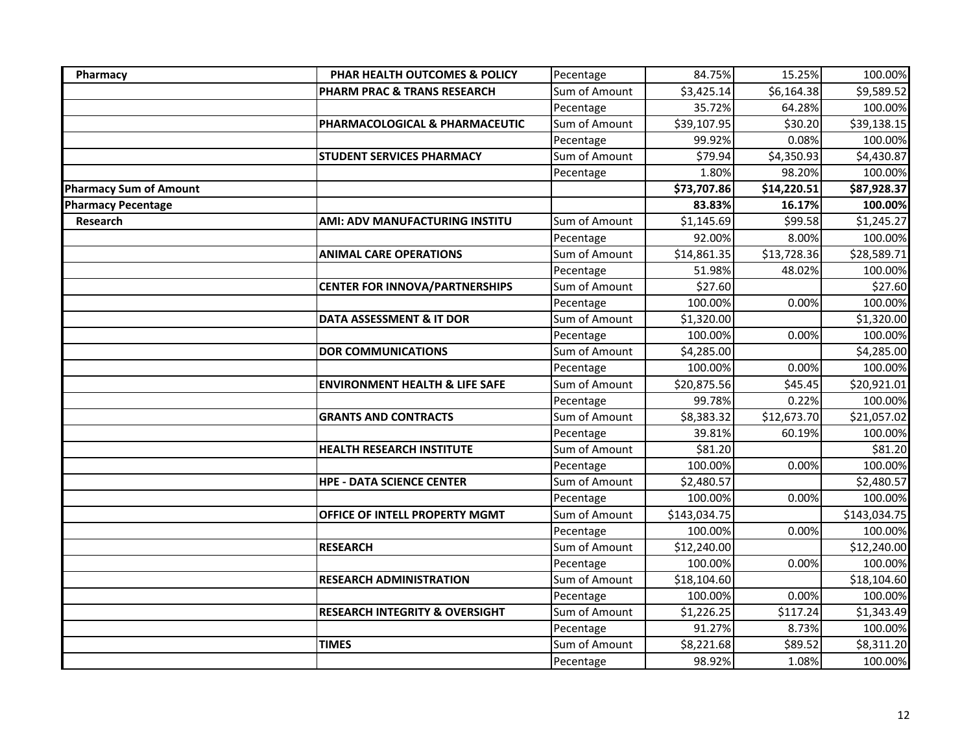| Pharmacy                      | PHAR HEALTH OUTCOMES & POLICY             | Pecentage     | 84.75%       | 15.25%      | 100.00%      |
|-------------------------------|-------------------------------------------|---------------|--------------|-------------|--------------|
|                               | PHARM PRAC & TRANS RESEARCH               | Sum of Amount | \$3,425.14   | \$6,164.38  | \$9,589.52   |
|                               |                                           | Pecentage     | 35.72%       | 64.28%      | 100.00%      |
|                               | PHARMACOLOGICAL & PHARMACEUTIC            | Sum of Amount | \$39,107.95  | \$30.20     | \$39,138.15  |
|                               |                                           | Pecentage     | 99.92%       | 0.08%       | 100.00%      |
|                               | <b>STUDENT SERVICES PHARMACY</b>          | Sum of Amount | \$79.94      | \$4,350.93  | \$4,430.87   |
|                               |                                           | Pecentage     | 1.80%        | 98.20%      | 100.00%      |
| <b>Pharmacy Sum of Amount</b> |                                           |               | \$73,707.86  | \$14,220.51 | \$87,928.37  |
| <b>Pharmacy Pecentage</b>     |                                           |               | 83.83%       | 16.17%      | 100.00%      |
| Research                      | AMI: ADV MANUFACTURING INSTITU            | Sum of Amount | \$1,145.69   | \$99.58     | \$1,245.27   |
|                               |                                           | Pecentage     | 92.00%       | 8.00%       | 100.00%      |
|                               | <b>ANIMAL CARE OPERATIONS</b>             | Sum of Amount | \$14,861.35  | \$13,728.36 | \$28,589.71  |
|                               |                                           | Pecentage     | 51.98%       | 48.02%      | 100.00%      |
|                               | <b>CENTER FOR INNOVA/PARTNERSHIPS</b>     | Sum of Amount | \$27.60      |             | \$27.60      |
|                               |                                           | Pecentage     | 100.00%      | 0.00%       | 100.00%      |
|                               | DATA ASSESSMENT & IT DOR                  | Sum of Amount | \$1,320.00   |             | \$1,320.00   |
|                               |                                           | Pecentage     | 100.00%      | 0.00%       | 100.00%      |
|                               | <b>DOR COMMUNICATIONS</b>                 | Sum of Amount | \$4,285.00   |             | \$4,285.00   |
|                               |                                           | Pecentage     | 100.00%      | 0.00%       | 100.00%      |
|                               | <b>ENVIRONMENT HEALTH &amp; LIFE SAFE</b> | Sum of Amount | \$20,875.56  | \$45.45     | \$20,921.01  |
|                               |                                           | Pecentage     | 99.78%       | 0.22%       | 100.00%      |
|                               | <b>GRANTS AND CONTRACTS</b>               | Sum of Amount | \$8,383.32   | \$12,673.70 | \$21,057.02  |
|                               |                                           | Pecentage     | 39.81%       | 60.19%      | 100.00%      |
|                               | <b>HEALTH RESEARCH INSTITUTE</b>          | Sum of Amount | \$81.20      |             | \$81.20      |
|                               |                                           | Pecentage     | 100.00%      | 0.00%       | 100.00%      |
|                               | <b>HPE - DATA SCIENCE CENTER</b>          | Sum of Amount | \$2,480.57   |             | \$2,480.57   |
|                               |                                           | Pecentage     | 100.00%      | 0.00%       | 100.00%      |
|                               | OFFICE OF INTELL PROPERTY MGMT            | Sum of Amount | \$143,034.75 |             | \$143,034.75 |
|                               |                                           | Pecentage     | 100.00%      | 0.00%       | 100.00%      |
|                               | <b>RESEARCH</b>                           | Sum of Amount | \$12,240.00  |             | \$12,240.00  |
|                               |                                           | Pecentage     | 100.00%      | 0.00%       | 100.00%      |
|                               | <b>RESEARCH ADMINISTRATION</b>            | Sum of Amount | \$18,104.60  |             | \$18,104.60  |
|                               |                                           | Pecentage     | 100.00%      | 0.00%       | 100.00%      |
|                               | <b>RESEARCH INTEGRITY &amp; OVERSIGHT</b> | Sum of Amount | \$1,226.25   | \$117.24    | \$1,343.49   |
|                               |                                           | Pecentage     | 91.27%       | 8.73%       | 100.00%      |
|                               | <b>TIMES</b>                              | Sum of Amount | \$8,221.68   | \$89.52     | \$8,311.20   |
|                               |                                           | Pecentage     | 98.92%       | 1.08%       | 100.00%      |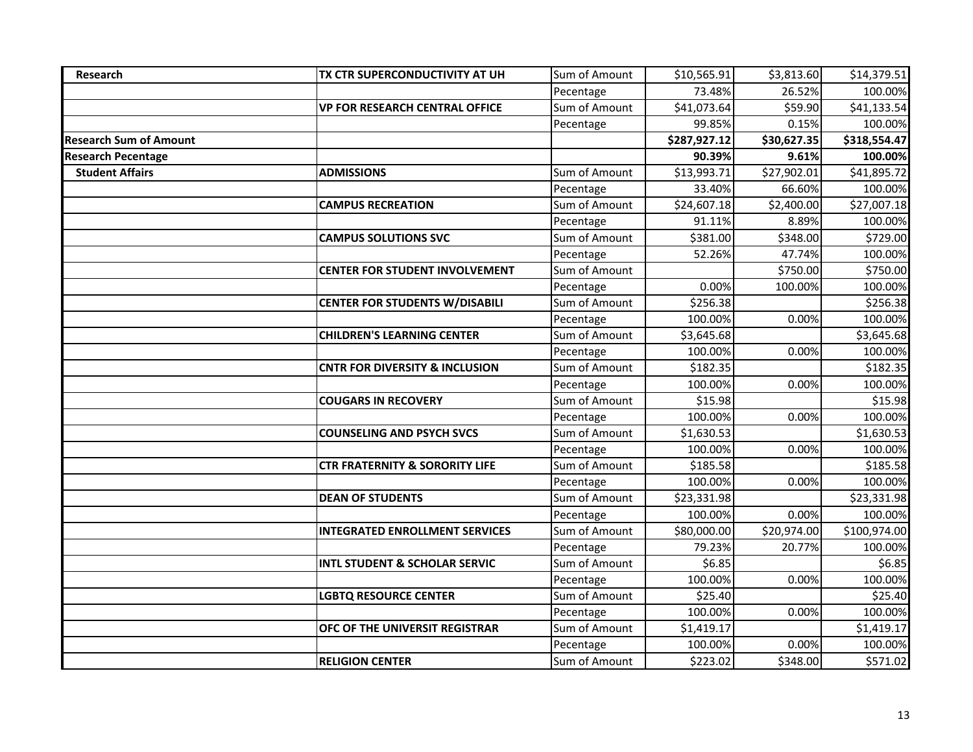| Research                      | TX CTR SUPERCONDUCTIVITY AT UH            | Sum of Amount | \$10,565.91  | \$3,813.60  | \$14,379.51  |
|-------------------------------|-------------------------------------------|---------------|--------------|-------------|--------------|
|                               |                                           | Pecentage     | 73.48%       | 26.52%      | 100.00%      |
|                               | <b>VP FOR RESEARCH CENTRAL OFFICE</b>     | Sum of Amount | \$41,073.64  | \$59.90     | \$41,133.54  |
|                               |                                           | Pecentage     | 99.85%       | 0.15%       | 100.00%      |
| <b>Research Sum of Amount</b> |                                           |               | \$287,927.12 | \$30,627.35 | \$318,554.47 |
| <b>Research Pecentage</b>     |                                           |               | 90.39%       | 9.61%       | 100.00%      |
| <b>Student Affairs</b>        | <b>ADMISSIONS</b>                         | Sum of Amount | \$13,993.71  | \$27,902.01 | \$41,895.72  |
|                               |                                           | Pecentage     | 33.40%       | 66.60%      | 100.00%      |
|                               | <b>CAMPUS RECREATION</b>                  | Sum of Amount | \$24,607.18  | \$2,400.00  | \$27,007.18  |
|                               |                                           | Pecentage     | 91.11%       | 8.89%       | 100.00%      |
|                               | <b>CAMPUS SOLUTIONS SVC</b>               | Sum of Amount | \$381.00     | \$348.00    | \$729.00     |
|                               |                                           | Pecentage     | 52.26%       | 47.74%      | 100.00%      |
|                               | <b>CENTER FOR STUDENT INVOLVEMENT</b>     | Sum of Amount |              | \$750.00    | \$750.00     |
|                               |                                           | Pecentage     | 0.00%        | 100.00%     | 100.00%      |
|                               | <b>CENTER FOR STUDENTS W/DISABILI</b>     | Sum of Amount | \$256.38     |             | \$256.38     |
|                               |                                           | Pecentage     | 100.00%      | 0.00%       | 100.00%      |
|                               | <b>CHILDREN'S LEARNING CENTER</b>         | Sum of Amount | \$3,645.68   |             | \$3,645.68   |
|                               |                                           | Pecentage     | 100.00%      | 0.00%       | 100.00%      |
|                               | <b>CNTR FOR DIVERSITY &amp; INCLUSION</b> | Sum of Amount | \$182.35     |             | \$182.35     |
|                               |                                           | Pecentage     | 100.00%      | 0.00%       | 100.00%      |
|                               | <b>COUGARS IN RECOVERY</b>                | Sum of Amount | \$15.98      |             | \$15.98      |
|                               |                                           | Pecentage     | 100.00%      | 0.00%       | 100.00%      |
|                               | <b>COUNSELING AND PSYCH SVCS</b>          | Sum of Amount | \$1,630.53   |             | \$1,630.53   |
|                               |                                           | Pecentage     | 100.00%      | 0.00%       | 100.00%      |
|                               | <b>CTR FRATERNITY &amp; SORORITY LIFE</b> | Sum of Amount | \$185.58     |             | \$185.58     |
|                               |                                           | Pecentage     | 100.00%      | 0.00%       | 100.00%      |
|                               | <b>DEAN OF STUDENTS</b>                   | Sum of Amount | \$23,331.98  |             | \$23,331.98  |
|                               |                                           | Pecentage     | 100.00%      | 0.00%       | 100.00%      |
|                               | <b>INTEGRATED ENROLLMENT SERVICES</b>     | Sum of Amount | \$80,000.00  | \$20,974.00 | \$100,974.00 |
|                               |                                           | Pecentage     | 79.23%       | 20.77%      | 100.00%      |
|                               | <b>INTL STUDENT &amp; SCHOLAR SERVIC</b>  | Sum of Amount | \$6.85       |             | \$6.85       |
|                               |                                           | Pecentage     | 100.00%      | 0.00%       | 100.00%      |
|                               | <b>LGBTQ RESOURCE CENTER</b>              | Sum of Amount | \$25.40      |             | \$25.40      |
|                               |                                           | Pecentage     | 100.00%      | 0.00%       | 100.00%      |
|                               | OFC OF THE UNIVERSIT REGISTRAR            | Sum of Amount | \$1,419.17   |             | \$1,419.17   |
|                               |                                           | Pecentage     | 100.00%      | 0.00%       | 100.00%      |
|                               | <b>RELIGION CENTER</b>                    | Sum of Amount | \$223.02     | \$348.00    | \$571.02     |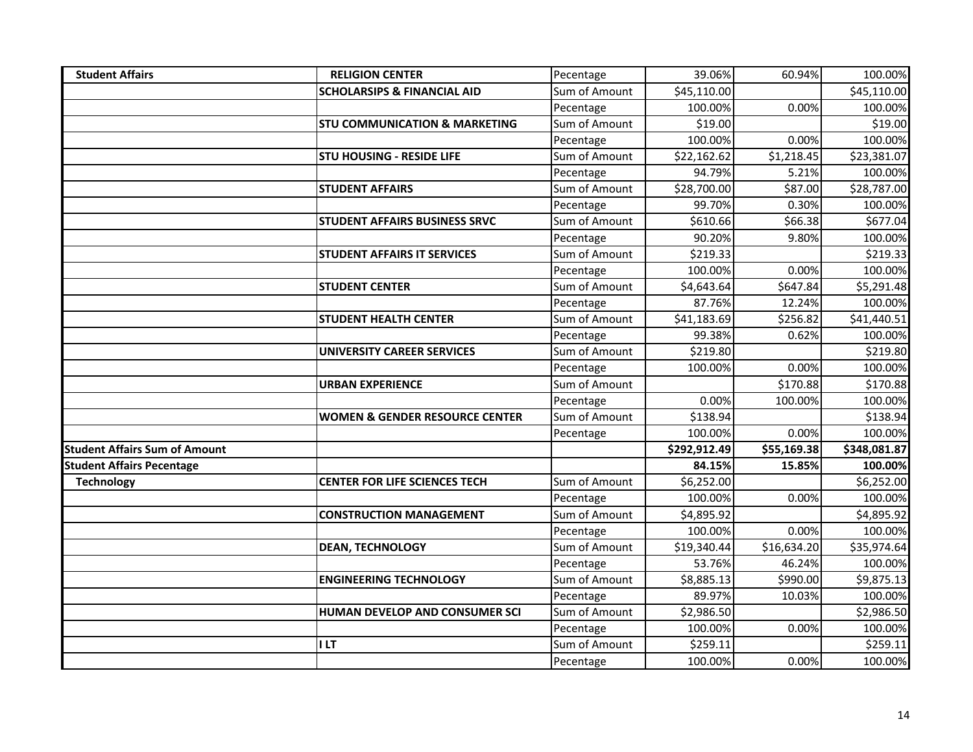| <b>Student Affairs</b>               | <b>RELIGION CENTER</b>                    | Pecentage     | 39.06%       | 60.94%      | 100.00%      |
|--------------------------------------|-------------------------------------------|---------------|--------------|-------------|--------------|
|                                      | <b>SCHOLARSIPS &amp; FINANCIAL AID</b>    | Sum of Amount | \$45,110.00  |             | \$45,110.00  |
|                                      |                                           | Pecentage     | 100.00%      | 0.00%       | 100.00%      |
|                                      | <b>STU COMMUNICATION &amp; MARKETING</b>  | Sum of Amount | \$19.00      |             | \$19.00      |
|                                      |                                           | Pecentage     | 100.00%      | 0.00%       | 100.00%      |
|                                      | <b>STU HOUSING - RESIDE LIFE</b>          | Sum of Amount | \$22,162.62  | \$1,218.45  | \$23,381.07  |
|                                      |                                           | Pecentage     | 94.79%       | 5.21%       | 100.00%      |
|                                      | <b>STUDENT AFFAIRS</b>                    | Sum of Amount | \$28,700.00  | \$87.00     | \$28,787.00  |
|                                      |                                           | Pecentage     | 99.70%       | 0.30%       | 100.00%      |
|                                      | <b>STUDENT AFFAIRS BUSINESS SRVC</b>      | Sum of Amount | \$610.66     | \$66.38     | \$677.04     |
|                                      |                                           | Pecentage     | 90.20%       | 9.80%       | 100.00%      |
|                                      | <b>STUDENT AFFAIRS IT SERVICES</b>        | Sum of Amount | \$219.33     |             | \$219.33     |
|                                      |                                           | Pecentage     | 100.00%      | 0.00%       | 100.00%      |
|                                      | <b>STUDENT CENTER</b>                     | Sum of Amount | \$4,643.64   | \$647.84    | \$5,291.48   |
|                                      |                                           | Pecentage     | 87.76%       | 12.24%      | 100.00%      |
|                                      | <b>STUDENT HEALTH CENTER</b>              | Sum of Amount | \$41,183.69  | \$256.82    | \$41,440.51  |
|                                      |                                           | Pecentage     | 99.38%       | 0.62%       | 100.00%      |
|                                      | <b>UNIVERSITY CAREER SERVICES</b>         | Sum of Amount | \$219.80     |             | \$219.80     |
|                                      |                                           | Pecentage     | 100.00%      | 0.00%       | 100.00%      |
|                                      | <b>URBAN EXPERIENCE</b>                   | Sum of Amount |              | \$170.88    | \$170.88     |
|                                      |                                           | Pecentage     | 0.00%        | 100.00%     | 100.00%      |
|                                      | <b>WOMEN &amp; GENDER RESOURCE CENTER</b> | Sum of Amount | \$138.94     |             | \$138.94     |
|                                      |                                           | Pecentage     | 100.00%      | 0.00%       | 100.00%      |
| <b>Student Affairs Sum of Amount</b> |                                           |               | \$292,912.49 | \$55,169.38 | \$348,081.87 |
| <b>Student Affairs Pecentage</b>     |                                           |               | 84.15%       | 15.85%      | 100.00%      |
| <b>Technology</b>                    | <b>CENTER FOR LIFE SCIENCES TECH</b>      | Sum of Amount | \$6,252.00   |             | \$6,252.00   |
|                                      |                                           | Pecentage     | 100.00%      | 0.00%       | 100.00%      |
|                                      | <b>CONSTRUCTION MANAGEMENT</b>            | Sum of Amount | \$4,895.92   |             | \$4,895.92   |
|                                      |                                           | Pecentage     | 100.00%      | 0.00%       | 100.00%      |
|                                      | <b>DEAN, TECHNOLOGY</b>                   | Sum of Amount | \$19,340.44  | \$16,634.20 | \$35,974.64  |
|                                      |                                           | Pecentage     | 53.76%       | 46.24%      | 100.00%      |
|                                      | <b>ENGINEERING TECHNOLOGY</b>             | Sum of Amount | \$8,885.13   | \$990.00    | \$9,875.13   |
|                                      |                                           | Pecentage     | 89.97%       | 10.03%      | 100.00%      |
|                                      | HUMAN DEVELOP AND CONSUMER SCI            | Sum of Amount | \$2,986.50   |             | \$2,986.50   |
|                                      |                                           | Pecentage     | 100.00%      | 0.00%       | 100.00%      |
|                                      | I LT                                      | Sum of Amount | \$259.11     |             | \$259.11     |
|                                      |                                           | Pecentage     | 100.00%      | 0.00%       | 100.00%      |